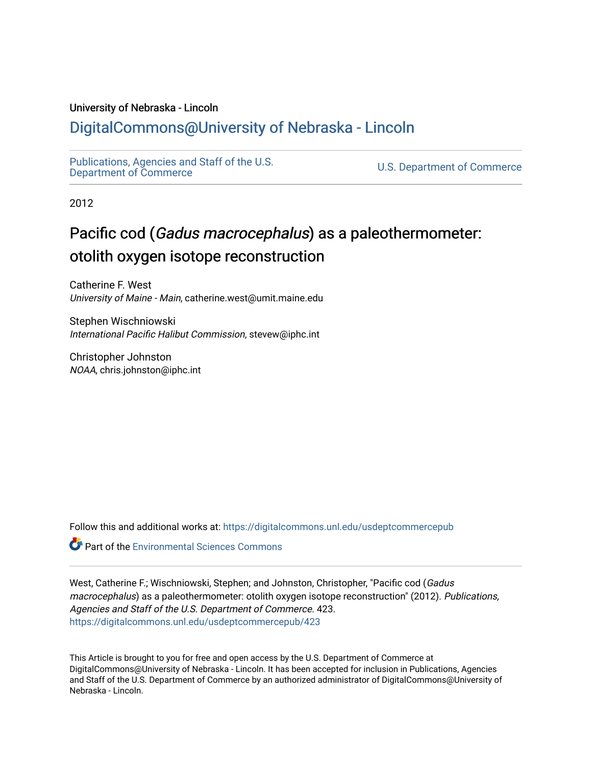### University of Nebraska - Lincoln

## [DigitalCommons@University of Nebraska - Lincoln](https://digitalcommons.unl.edu/)

[Publications, Agencies and Staff of the U.S.](https://digitalcommons.unl.edu/usdeptcommercepub)

U.S. [Department of Commerce](https://digitalcommons.unl.edu/usdeptcommercepub)

2012

# Pacific cod (Gadus macrocephalus) as a paleothermometer: otolith oxygen isotope reconstruction

Catherine F. West University of Maine - Main, catherine.west@umit.maine.edu

Stephen Wischniowski International Pacific Halibut Commission, stevew@iphc.int

Christopher Johnston NOAA, chris.johnston@iphc.int

Follow this and additional works at: [https://digitalcommons.unl.edu/usdeptcommercepub](https://digitalcommons.unl.edu/usdeptcommercepub?utm_source=digitalcommons.unl.edu%2Fusdeptcommercepub%2F423&utm_medium=PDF&utm_campaign=PDFCoverPages)

**C** Part of the [Environmental Sciences Commons](http://network.bepress.com/hgg/discipline/167?utm_source=digitalcommons.unl.edu%2Fusdeptcommercepub%2F423&utm_medium=PDF&utm_campaign=PDFCoverPages)

West, Catherine F.; Wischniowski, Stephen; and Johnston, Christopher, "Pacific cod (Gadus macrocephalus) as a paleothermometer: otolith oxygen isotope reconstruction" (2012). Publications, Agencies and Staff of the U.S. Department of Commerce. 423. [https://digitalcommons.unl.edu/usdeptcommercepub/423](https://digitalcommons.unl.edu/usdeptcommercepub/423?utm_source=digitalcommons.unl.edu%2Fusdeptcommercepub%2F423&utm_medium=PDF&utm_campaign=PDFCoverPages) 

This Article is brought to you for free and open access by the U.S. Department of Commerce at DigitalCommons@University of Nebraska - Lincoln. It has been accepted for inclusion in Publications, Agencies and Staff of the U.S. Department of Commerce by an authorized administrator of DigitalCommons@University of Nebraska - Lincoln.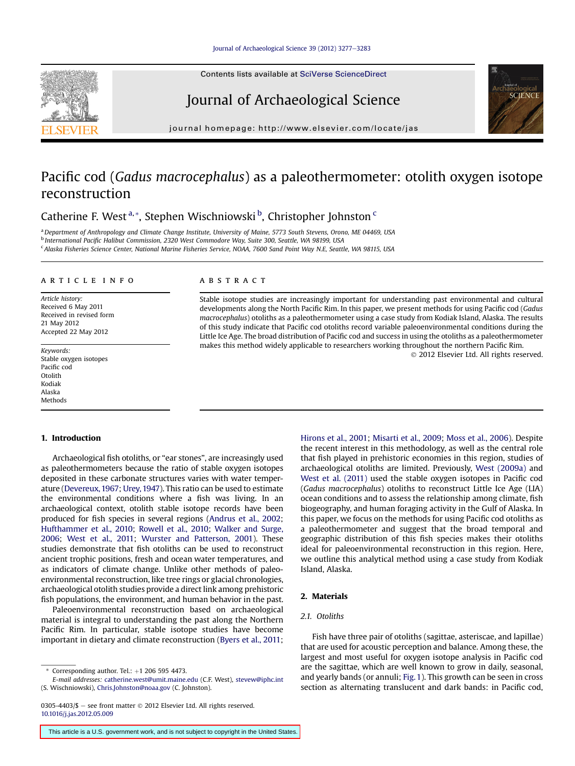Contents lists available at SciVerse ScienceDirect

### Journal of Archaeological Science

journal homepage:<http://www.elsevier.com/locate/jas>

### Pacific cod (Gadus macrocephalus) as a paleothermometer: otolith oxygen isotope reconstruction

Catherine F. West<sup>a,\*</sup>, Stephen Wischniowski<sup>b</sup>, Christopher Johnston<sup>c</sup>

a Department of Anthropology and Climate Change Institute, University of Maine, 5773 South Stevens, Orono, ME 04469, USA <sup>b</sup> International Pacific Halibut Commission, 2320 West Commodore Way, Suite 300, Seattle, WA 98199, USA <sup>c</sup> Alaska Fisheries Science Center, National Marine Fisheries Service, NOAA, 7600 Sand Point Way N.E, Seattle, WA 98115, USA

#### article info

Article history: Received 6 May 2011 Received in revised form 21 May 2012 Accepted 22 May 2012

Keywords: Stable oxygen isotopes Pacific cod Otolith Kodiak Alaska Methods

#### 1. Introduction

Archaeological fish otoliths, or "ear stones", are increasingly used as paleothermometers because the ratio of stable oxygen isotopes deposited in these carbonate structures varies with water temperature ([Devereux, 1967](#page-6-0); [Urey, 1947](#page-7-0)). This ratio can be used to estimate the environmental conditions where a fish was living. In an archaeological context, otolith stable isotope records have been produced for fish species in several regions ([Andrus et al., 2002;](#page-6-0) [Hufthammer et al., 2010](#page-6-0); [Rowell et al., 2010;](#page-7-0) [Walker and Surge,](#page-7-0) [2006;](#page-7-0) [West et al., 2011;](#page-7-0) [Wurster and Patterson, 2001](#page-7-0)). These studies demonstrate that fish otoliths can be used to reconstruct ancient trophic positions, fresh and ocean water temperatures, and as indicators of climate change. Unlike other methods of paleoenvironmental reconstruction, like tree rings or glacial chronologies, archaeological otolith studies provide a direct link among prehistoric fish populations, the environment, and human behavior in the past.

Paleoenvironmental reconstruction based on archaeological material is integral to understanding the past along the Northern Pacific Rim. In particular, stable isotope studies have become important in dietary and climate reconstruction ([Byers et al., 2011;](#page-6-0)

E-mail addresses: [catherine.west@umit.maine.edu](mailto:catherine.west@umit.maine.edu) (C.F. West), [stevew@iphc.int](mailto:stevew@iphc.int) (S. Wischniowski), [Chris.Johnston@noaa.gov](mailto:Chris.Johnston@noaa.gov) (C. Johnston).

#### **ABSTRACT**

Stable isotope studies are increasingly important for understanding past environmental and cultural developments along the North Pacific Rim. In this paper, we present methods for using Pacific cod (Gadus macrocephalus) otoliths as a paleothermometer using a case study from Kodiak Island, Alaska. The results of this study indicate that Pacific cod otoliths record variable paleoenvironmental conditions during the Little Ice Age. The broad distribution of Pacific cod and success in using the otoliths as a paleothermometer makes this method widely applicable to researchers working throughout the northern Pacific Rim.

2012 Elsevier Ltd. All rights reserved.

**SCIENC** 

[Hirons et al., 2001;](#page-6-0) [Misarti et al., 2009](#page-7-0); [Moss et al., 2006\)](#page-7-0). Despite the recent interest in this methodology, as well as the central role that fish played in prehistoric economies in this region, studies of archaeological otoliths are limited. Previously, [West \(2009a\)](#page-7-0) and [West et al. \(2011\)](#page-7-0) used the stable oxygen isotopes in Pacific cod (Gadus macrocephalus) otoliths to reconstruct Little Ice Age (LIA) ocean conditions and to assess the relationship among climate, fish biogeography, and human foraging activity in the Gulf of Alaska. In this paper, we focus on the methods for using Pacific cod otoliths as a paleothermometer and suggest that the broad temporal and geographic distribution of this fish species makes their otoliths ideal for paleoenvironmental reconstruction in this region. Here, we outline this analytical method using a case study from Kodiak Island, Alaska.

#### 2. Materials

#### 2.1. Otoliths

Fish have three pair of otoliths (sagittae, asteriscae, and lapillae) that are used for acoustic perception and balance. Among these, the largest and most useful for oxygen isotope analysis in Pacific cod are the sagittae, which are well known to grow in daily, seasonal, and yearly bands (or annuli; [Fig. 1](#page-2-0)). This growth can be seen in cross section as alternating translucent and dark bands: in Pacific cod,

This article is a U.S. government work, and is not subject to copyright in the United States.



Corresponding author. Tel.:  $+1$  206 595 4473.

<sup>0305-4403/\$ -</sup> see front matter  $\odot$  2012 Elsevier Ltd. All rights reserved. [10.1016/j.jas.2012.05.009](http://dx.doi.org/10.1016/j.jas.2012.05.009)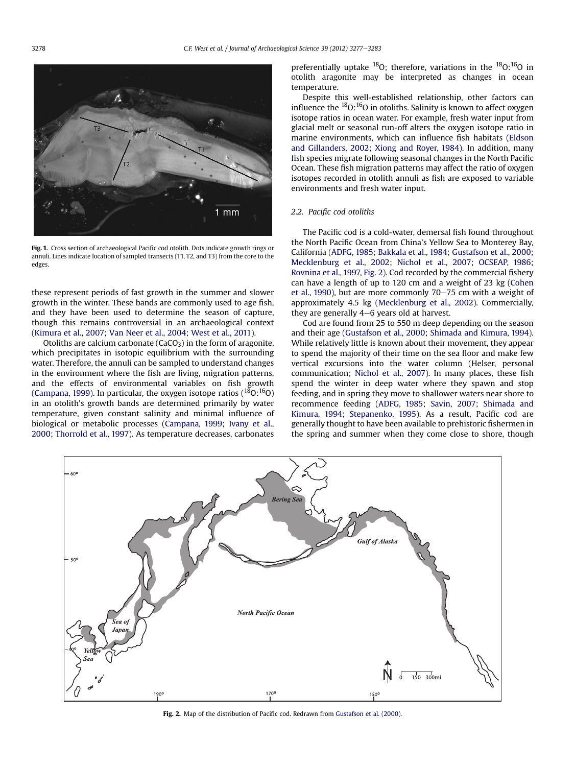Fig. 1. Cross section of archaeological Pacific cod otolith. Dots indicate growth rings or annuli. Lines indicate location of sampled transects (T1, T2, and T3) from the core to the edges.

these represent periods of fast growth in the summer and slower growth in the winter. These bands are commonly used to age fish, and they have been used to determine the season of capture, though this remains controversial in an archaeological context ([Kimura et al., 2007;](#page-7-0) [Van Neer et al., 2004;](#page-7-0) [West et al., 2011](#page-7-0)).

Otoliths are calcium carbonate ( $CaCO<sub>3</sub>$ ) in the form of aragonite, which precipitates in isotopic equilibrium with the surrounding water. Therefore, the annuli can be sampled to understand changes in the environment where the fish are living, migration patterns, and the effects of environmental variables on fish growth ([Campana, 1999](#page-6-0)). In particular, the oxygen isotope ratios ( $^{18}$ O: $^{16}$ O) in an otolith's growth bands are determined primarily by water temperature, given constant salinity and minimal influence of biological or metabolic processes ([Campana, 1999](#page-6-0); [Ivany et al.,](#page-6-0) [2000](#page-6-0); [Thorrold et al., 1997](#page-7-0)). As temperature decreases, carbonates preferentially uptake  $^{18}O$ ; therefore, variations in the  $^{18}O$ :  $^{16}O$  in otolith aragonite may be interpreted as changes in ocean temperature.

Despite this well-established relationship, other factors can influence the  ${}^{18}O$ :  ${}^{16}O$  in otoliths. Salinity is known to affect oxygen isotope ratios in ocean water. For example, fresh water input from glacial melt or seasonal run-off alters the oxygen isotope ratio in marine environments, which can influence fish habitats ([Eldson](#page-6-0) [and Gillanders, 2002](#page-6-0); [Xiong and Royer, 1984\)](#page-7-0). In addition, many fish species migrate following seasonal changes in the North Pacific Ocean. These fish migration patterns may affect the ratio of oxygen isotopes recorded in otolith annuli as fish are exposed to variable environments and fresh water input.

#### 2.2. Pacific cod otoliths

The Pacific cod is a cold-water, demersal fish found throughout the North Pacific Ocean from China's Yellow Sea to Monterey Bay, California [\(ADFG, 1985;](#page-6-0) [Bakkala et al., 1984](#page-6-0); [Gustafson et al., 2000](#page-6-0); [Mecklenburg et al., 2002;](#page-7-0) [Nichol et al., 2007](#page-7-0); [OCSEAP, 1986](#page-7-0); [Rovnina et al., 1997,](#page-7-0) Fig. 2). Cod recorded by the commercial fishery can have a length of up to 120 cm and a weight of 23 kg ([Cohen](#page-6-0) [et al., 1990](#page-6-0)), but are more commonly  $70-75$  cm with a weight of approximately 4.5 kg ([Mecklenburg et al., 2002](#page-7-0)). Commercially, they are generally  $4-6$  years old at harvest.

Cod are found from 25 to 550 m deep depending on the season and their age ([Gustafson et al., 2000](#page-6-0); [Shimada and Kimura, 1994\)](#page-7-0). While relatively little is known about their movement, they appear to spend the majority of their time on the sea floor and make few vertical excursions into the water column (Helser, personal communication; [Nichol et al., 2007\)](#page-7-0). In many places, these fish spend the winter in deep water where they spawn and stop feeding, and in spring they move to shallower waters near shore to recommence feeding [\(ADFG, 1985](#page-6-0); [Savin, 2007;](#page-7-0) [Shimada and](#page-7-0) [Kimura, 1994](#page-7-0); [Stepanenko, 1995](#page-7-0)). As a result, Pacific cod are generally thought to have been available to prehistoric fishermen in the spring and summer when they come close to shore, though



Fig. 2. Map of the distribution of Pacific cod. Redrawn from [Gustafson et al. \(2000\)](#page-6-0).

<span id="page-2-0"></span>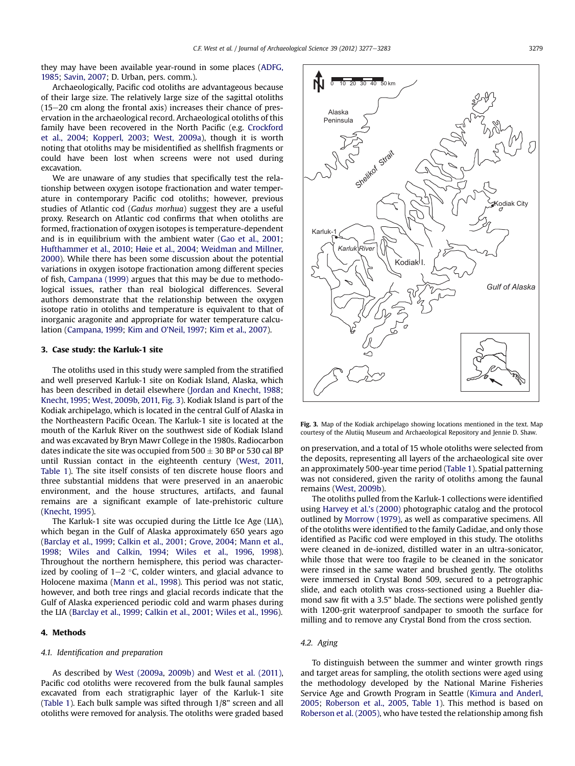they may have been available year-round in some places [\(ADFG,](#page-6-0) [1985;](#page-6-0) [Savin, 2007](#page-7-0); D. Urban, pers. comm.).

Archaeologically, Pacific cod otoliths are advantageous because of their large size. The relatively large size of the sagittal otoliths  $(15-20$  cm along the frontal axis) increases their chance of preservation in the archaeological record. Archaeological otoliths of this family have been recovered in the North Pacific (e.g. [Crockford](#page-6-0) [et al., 2004;](#page-6-0) [Kopperl, 2003;](#page-7-0) [West, 2009a\)](#page-7-0), though it is worth noting that otoliths may be misidentified as shellfish fragments or could have been lost when screens were not used during excavation.

We are unaware of any studies that specifically test the relationship between oxygen isotope fractionation and water temperature in contemporary Pacific cod otoliths; however, previous studies of Atlantic cod (Gadus morhua) suggest they are a useful proxy. Research on Atlantic cod confirms that when otoliths are formed, fractionation of oxygen isotopes is temperature-dependent and is in equilibrium with the ambient water ([Gao et al., 2001;](#page-6-0) [Hufthammer et al., 2010](#page-6-0); [Høie et al., 2004;](#page-6-0) [Weidman and Millner,](#page-7-0) [2000](#page-7-0)). While there has been some discussion about the potential variations in oxygen isotope fractionation among different species of fish, [Campana \(1999\)](#page-6-0) argues that this may be due to methodological issues, rather than real biological differences. Several authors demonstrate that the relationship between the oxygen isotope ratio in otoliths and temperature is equivalent to that of inorganic aragonite and appropriate for water temperature calculation ([Campana, 1999](#page-6-0); [Kim and O](#page-7-0)'Neil, 1997; [Kim et al., 2007\)](#page-7-0).

#### 3. Case study: the Karluk-1 site

The otoliths used in this study were sampled from the stratified and well preserved Karluk-1 site on Kodiak Island, Alaska, which has been described in detail elsewhere [\(Jordan and Knecht, 1988;](#page-6-0) [Knecht, 1995;](#page-7-0) [West, 2009b,](#page-7-0) [2011,](#page-7-0) Fig. 3). Kodiak Island is part of the Kodiak archipelago, which is located in the central Gulf of Alaska in the Northeastern Pacific Ocean. The Karluk-1 site is located at the mouth of the Karluk River on the southwest side of Kodiak Island and was excavated by Bryn Mawr College in the 1980s. Radiocarbon dates indicate the site was occupied from  $500 \pm 30$  BP or 530 cal BP until Russian contact in the eighteenth century ([West, 2011,](#page-7-0) [Table 1\)](#page-4-0). The site itself consists of ten discrete house floors and three substantial middens that were preserved in an anaerobic environment, and the house structures, artifacts, and faunal remains are a significant example of late-prehistoric culture ([Knecht, 1995](#page-7-0)).

The Karluk-1 site was occupied during the Little Ice Age (LIA), which began in the Gulf of Alaska approximately 650 years ago ([Barclay et al., 1999;](#page-6-0) [Calkin et al., 2001;](#page-6-0) [Grove, 2004;](#page-6-0) [Mann et al.,](#page-7-0) [1998;](#page-7-0) [Wiles and Calkin, 1994](#page-7-0); [Wiles et al., 1996,](#page-7-0) [1998\)](#page-7-0). Throughout the northern hemisphere, this period was characterized by cooling of  $1-2$  °C, colder winters, and glacial advance to Holocene maxima ([Mann et al., 1998](#page-7-0)). This period was not static, however, and both tree rings and glacial records indicate that the Gulf of Alaska experienced periodic cold and warm phases during the LIA ([Barclay et al., 1999](#page-6-0); [Calkin et al., 2001](#page-6-0); [Wiles et al., 1996\)](#page-7-0).

#### 4. Methods

#### 4.1. Identification and preparation

As described by [West \(2009a,](#page-7-0) [2009b\)](#page-7-0) and [West et al. \(2011\),](#page-7-0) Pacific cod otoliths were recovered from the bulk faunal samples excavated from each stratigraphic layer of the Karluk-1 site ([Table 1\)](#page-4-0). Each bulk sample was sifted through 1/8" screen and all otoliths were removed for analysis. The otoliths were graded based



Fig. 3. Map of the Kodiak archipelago showing locations mentioned in the text. Map courtesy of the Alutiiq Museum and Archaeological Repository and Jennie D. Shaw.

on preservation, and a total of 15 whole otoliths were selected from the deposits, representing all layers of the archaeological site over an approximately 500-year time period ([Table 1](#page-4-0)). Spatial patterning was not considered, given the rarity of otoliths among the faunal remains [\(West, 2009b](#page-7-0)).

The otoliths pulled from the Karluk-1 collections were identified using [Harvey et al.](#page-6-0)'s (2000) photographic catalog and the protocol outlined by [Morrow \(1979\),](#page-7-0) as well as comparative specimens. All of the otoliths were identified to the family Gadidae, and only those identified as Pacific cod were employed in this study. The otoliths were cleaned in de-ionized, distilled water in an ultra-sonicator, while those that were too fragile to be cleaned in the sonicator were rinsed in the same water and brushed gently. The otoliths were immersed in Crystal Bond 509, secured to a petrographic slide, and each otolith was cross-sectioned using a Buehler diamond saw fit with a 3.5" blade. The sections were polished gently with 1200-grit waterproof sandpaper to smooth the surface for milling and to remove any Crystal Bond from the cross section.

#### 4.2. Aging

To distinguish between the summer and winter growth rings and target areas for sampling, the otolith sections were aged using the methodology developed by the National Marine Fisheries Service Age and Growth Program in Seattle ([Kimura and Anderl,](#page-7-0) [2005;](#page-7-0) [Roberson et al., 2005](#page-7-0), [Table 1\)](#page-4-0). This method is based on [Roberson et al. \(2005\)](#page-7-0), who have tested the relationship among fish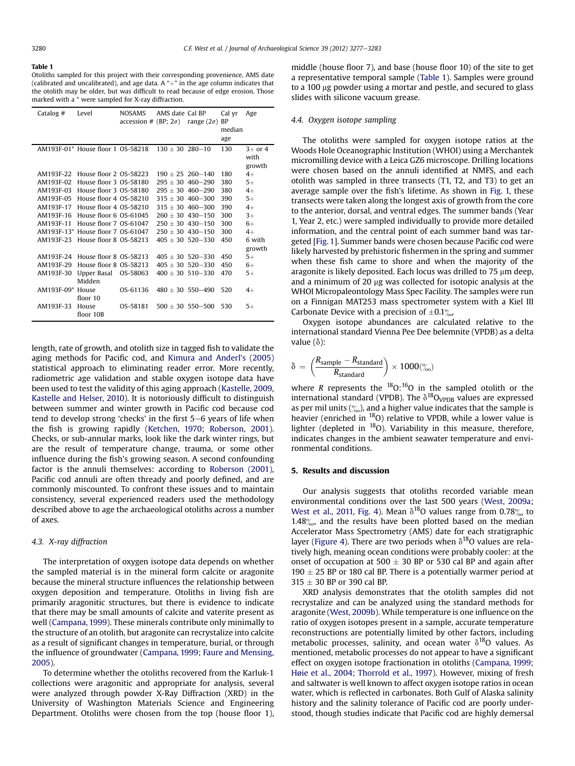#### <span id="page-4-0"></span>Table 1

Otoliths sampled for this project with their corresponding provenience, AMS date (calibrated and uncalibrated), and age data. A " $+$ " in the age column indicates that the otolith may be older, but was difficult to read because of edge erosion. Those marked with a \* were sampled for X-ray diffraction.

| Catalog #  | Level                             | <b>NOSAMS</b><br>accession # (BP; $2\sigma$ ) | AMS date Cal BP      | range $(2\sigma)$ BP | Cal yr<br>median | Age       |
|------------|-----------------------------------|-----------------------------------------------|----------------------|----------------------|------------------|-----------|
|            |                                   |                                               |                      |                      | age              |           |
|            | AM193F-01* House floor 1 OS-58218 |                                               | $130 + 30$ 280-10    |                      | 130              | $3+$ or 4 |
|            |                                   |                                               |                      |                      |                  | with      |
|            |                                   |                                               |                      |                      |                  | growth    |
| AM193F-22  | House floor 2 OS-58223            |                                               | $190 + 25$ 260-140   |                      | 180              | $4+$      |
| AM193F-02  | House floor 3 OS-58180            |                                               | $295 + 30$ 460-290   |                      | 380              | $5+$      |
| AM193F-03  | House floor 3 OS-58180            |                                               | $295 \pm 30$ 460-290 |                      | 380              | $4+$      |
| AM193F-05  | House floor 4 OS-58210            |                                               | $315 + 30$ 460-300   |                      | 390              | $5+$      |
| AM193F-17  | House floor 4 OS-58210            |                                               | $315 + 30$ 460-300   |                      | 390              | $4+$      |
| AM193F-16  | House floor 6 OS-61045            |                                               | $260 + 30$ 430-150   |                      | 300              | $3+$      |
| AM193F-11  | House floor 7 OS-61047            |                                               | $250 + 30$ 430-150   |                      | 300              | $6+$      |
| AM193F-13* | House floor 7 OS-61047            |                                               | $250 + 30$ 430-150   |                      | 300              | $4+$      |
| AM193F-23  | House floor 8 OS-58213            |                                               | $405 + 30$ 520-330   |                      | 450              | 6 with    |
|            |                                   |                                               |                      |                      |                  | growth    |
| AM193F-24  | House floor 8 OS-58213            |                                               | $405 + 30$ 520-330   |                      | 450              | $5+$      |
| AM193F-29  | House floor 8 OS-58213            |                                               | $405 \pm 30$ 520-330 |                      | 450              | $6+$      |
| AM193F-30  | Upper Basal<br>Midden             | OS-58063                                      | $400 + 30$ 510-330   |                      | 470              | $5+$      |
| AM193F-09* | House                             | OS-61136                                      | $480 + 30$ 550-490   |                      | 520              | $4+$      |
|            | floor 10                          |                                               |                      |                      |                  |           |
| AM193F-33  | House                             | OS-58181                                      | $500 + 30$ 550-500   |                      | 530              | $5+$      |
|            | floor 10B                         |                                               |                      |                      |                  |           |

length, rate of growth, and otolith size in tagged fish to validate the aging methods for Pacific cod, and [Kimura and Anderl](#page-7-0)'s (2005) statistical approach to eliminating reader error. More recently, radiometric age validation and stable oxygen isotope data have been used to test the validity of this aging approach [\(Kastelle, 2009,](#page-7-0) [Kastelle and Helser, 2010\)](#page-7-0). It is notoriously difficult to distinguish between summer and winter growth in Pacific cod because cod tend to develop strong 'checks' in the first  $5-6$  years of life when the fish is growing rapidly [\(Ketchen, 1970](#page-7-0); [Roberson, 2001](#page-7-0)). Checks, or sub-annular marks, look like the dark winter rings, but are the result of temperature change, trauma, or some other influence during the fish's growing season. A second confounding factor is the annuli themselves: according to [Roberson \(2001\)](#page-7-0), Pacific cod annuli are often thready and poorly defined, and are commonly miscounted. To confront these issues and to maintain consistency, several experienced readers used the methodology described above to age the archaeological otoliths across a number of axes.

#### 4.3. X-ray diffraction

The interpretation of oxygen isotope data depends on whether the sampled material is in the mineral form calcite or aragonite because the mineral structure influences the relationship between oxygen deposition and temperature. Otoliths in living fish are primarily aragonitic structures, but there is evidence to indicate that there may be small amounts of calcite and vaterite present as well ([Campana, 1999\)](#page-6-0). These minerals contribute only minimally to the structure of an otolith, but aragonite can recrystalize into calcite as a result of significant changes in temperature, burial, or through the influence of groundwater [\(Campana, 1999](#page-6-0); [Faure and Mensing,](#page-6-0) [2005](#page-6-0)).

To determine whether the otoliths recovered from the Karluk-1 collections were aragonitic and appropriate for analysis, several were analyzed through powder X-Ray Diffraction (XRD) in the University of Washington Materials Science and Engineering Department. Otoliths were chosen from the top (house floor 1), middle (house floor 7), and base (house floor 10) of the site to get a representative temporal sample (Table 1). Samples were ground to a 100 µg powder using a mortar and pestle, and secured to glass slides with silicone vacuum grease.

#### 4.4. Oxygen isotope sampling

The otoliths were sampled for oxygen isotope ratios at the Woods Hole Oceanographic Institution (WHOI) using a Merchantek micromilling device with a Leica GZ6 microscope. Drilling locations were chosen based on the annuli identified at NMFS, and each otolith was sampled in three transects (T1, T2, and T3) to get an average sample over the fish's lifetime. As shown in [Fig. 1,](#page-2-0) these transects were taken along the longest axis of growth from the core to the anterior, dorsal, and ventral edges. The summer bands (Year 1, Year 2, etc.) were sampled individually to provide more detailed information, and the central point of each summer band was targeted [[Fig. 1\]](#page-2-0). Summer bands were chosen because Pacific cod were likely harvested by prehistoric fishermen in the spring and summer when these fish came to shore and when the majority of the aragonite is likely deposited. Each locus was drilled to  $75 \mu m$  deep, and a minimum of 20  $\mu$ g was collected for isotopic analysis at the WHOI Micropaleontology Mass Spec Facility. The samples were run on a Finnigan MAT253 mass spectrometer system with a Kiel III Carbonate Device with a precision of  $\pm 0.1\%$ 

Oxygen isotope abundances are calculated relative to the international standard Vienna Pee Dee belemnite (VPDB) as a delta value  $(\delta)$ :

$$
\delta = \left(\frac{R_{sample} - R_{standard}}{R_{standard}}\right) \times 1000\binom{\text{C}}{\text{C}}}
$$

where R represents the  $^{18}O$ :  $^{16}O$  in the sampled otolith or the international standard (VPDB). The  $\delta^{18}$ O<sub>VPDB</sub> values are expressed as per mil units  $\binom{9}{00}$ , and a higher value indicates that the sample is heavier (enriched in <sup>18</sup>O) relative to VPDB, while a lower value is lighter (depleted in <sup>18</sup>O). Variability in this measure, therefore, indicates changes in the ambient seawater temperature and environmental conditions.

#### 5. Results and discussion

Our analysis suggests that otoliths recorded variable mean environmental conditions over the last 500 years ([West, 2009a](#page-7-0); [West et al., 2011,](#page-7-0) [Fig. 4\)](#page-5-0). Mean  $\delta^{18}$ O values range from 0.78 $\%$  to 1.48 $%$ , and the results have been plotted based on the median Accelerator Mass Spectrometry (AMS) date for each stratigraphic layer ([Figure 4\)](#page-5-0). There are two periods when  $\delta^{18}$ O values are relatively high, meaning ocean conditions were probably cooler: at the onset of occupation at 500  $\pm$  30 BP or 530 cal BP and again after 190  $\pm$  25 BP or 180 cal BP. There is a potentially warmer period at  $315 \pm 30$  BP or 390 cal BP.

XRD analysis demonstrates that the otolith samples did not recrystalize and can be analyzed using the standard methods for aragonite [\(West, 2009b\)](#page-7-0). While temperature is one influence on the ratio of oxygen isotopes present in a sample, accurate temperature reconstructions are potentially limited by other factors, including metabolic processes, salinity, and ocean water  $\delta^{18}$ O values. As mentioned, metabolic processes do not appear to have a significant effect on oxygen isotope fractionation in otoliths ([Campana, 1999](#page-6-0); [Høie et al., 2004](#page-6-0); [Thorrold et al., 1997](#page-7-0)). However, mixing of fresh and saltwater is well known to affect oxygen isotope ratios in ocean water, which is reflected in carbonates. Both Gulf of Alaska salinity history and the salinity tolerance of Pacific cod are poorly understood, though studies indicate that Pacific cod are highly demersal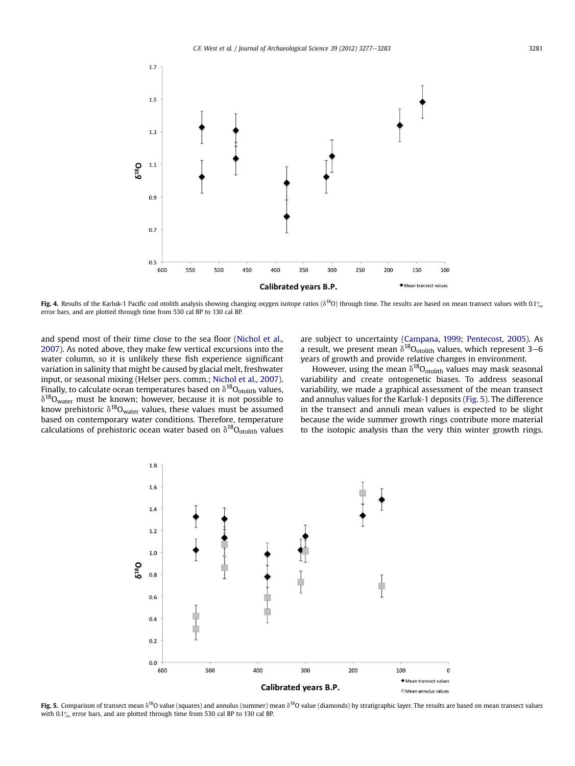<span id="page-5-0"></span>

Fig. 4. Results of the Karluk-1 Pacific cod otolith analysis showing changing oxygen isotope ratios ( $\delta^{18}$ O) through time. The results are based on mean transect values with 0.1% error bars, and are plotted through time from 530 cal BP to 130 cal BP.

and spend most of their time close to the sea floor [\(Nichol et al.,](#page-7-0) [2007\)](#page-7-0). As noted above, they make few vertical excursions into the water column, so it is unlikely these fish experience significant variation in salinity that might be caused by glacial melt, freshwater input, or seasonal mixing (Helser pers. comm.; [Nichol et al., 2007\)](#page-7-0). Finally, to calculate ocean temperatures based on  $\delta^{18}O_{\text{otolith}}$  values,  $\delta^{18}O_{\text{water}}$  must be known; however, because it is not possible to know prehistoric  $\delta^{18}O_{\text{water}}$  values, these values must be assumed based on contemporary water conditions. Therefore, temperature calculations of prehistoric ocean water based on  $\delta^{18}O_{\text{otolith}}$  values are subject to uncertainty ([Campana, 1999](#page-6-0); [Pentecost, 2005\)](#page-7-0). As a result, we present mean  $\delta^{18}O_{\text{orbith}}$  values, which represent 3–6 years of growth and provide relative changes in environment.

However, using the mean  $\delta^{18}O_{\text{otolith}}$  values may mask seasonal variability and create ontogenetic biases. To address seasonal variability, we made a graphical assessment of the mean transect and annulus values for the Karluk-1 deposits (Fig. 5). The difference in the transect and annuli mean values is expected to be slight because the wide summer growth rings contribute more material to the isotopic analysis than the very thin winter growth rings.



Fig. 5. Comparison of transect mean  $\delta^{18}O$  value (squares) and annulus (summer) mean  $\delta^{18}O$  value (diamonds) by stratigraphic layer. The results are based on mean transect values with  $0.1\%$  error bars, and are plotted through time from 530 cal BP to 130 cal BP.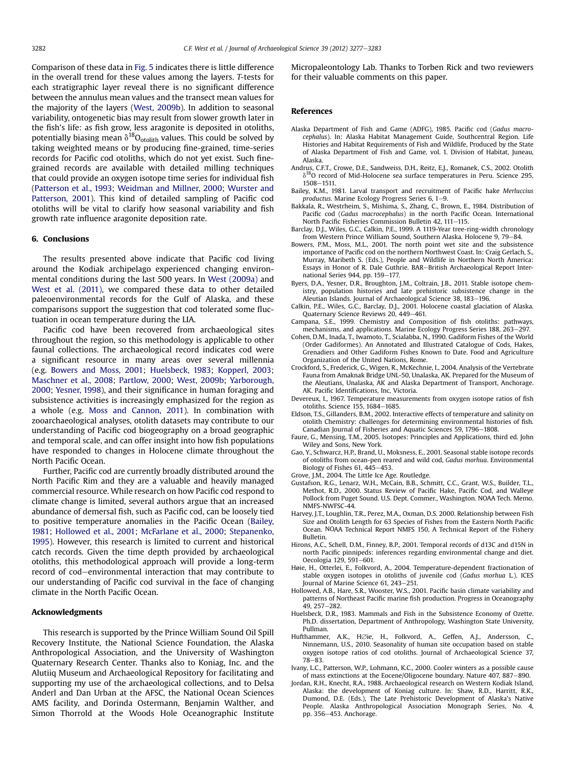<span id="page-6-0"></span>Comparison of these data in [Fig. 5](#page-5-0) indicates there is little difference in the overall trend for these values among the layers. T-tests for each stratigraphic layer reveal there is no significant difference between the annulus mean values and the transect mean values for the majority of the layers ([West, 2009b\)](#page-7-0). In addition to seasonal variability, ontogenetic bias may result from slower growth later in the fish's life: as fish grow, less aragonite is deposited in otoliths, potentially biasing mean  $\delta^{18}O_{\rm{otolith}}$  values. This could be solved by taking weighted means or by producing fine-grained, time-series records for Pacific cod otoliths, which do not yet exist. Such finegrained records are available with detailed milling techniques that could provide an oxygen isotope time series for individual fish ([Patterson et al., 1993](#page-7-0); [Weidman and Millner, 2000](#page-7-0); [Wurster and](#page-7-0) [Patterson, 2001\)](#page-7-0). This kind of detailed sampling of Pacific cod otoliths will be vital to clarify how seasonal variability and fish growth rate influence aragonite deposition rate.

#### 6. Conclusions

The results presented above indicate that Pacific cod living around the Kodiak archipelago experienced changing environmental conditions during the last 500 years. In [West \(2009a\)](#page-7-0) and [West et al. \(2011\),](#page-7-0) we compared these data to other detailed paleoenvironmental records for the Gulf of Alaska, and these comparisons support the suggestion that cod tolerated some fluctuation in ocean temperature during the LIA.

Pacific cod have been recovered from archaeological sites throughout the region, so this methodology is applicable to other faunal collections. The archaeological record indicates cod were a significant resource in many areas over several millennia (e.g. Bowers and Moss, 2001; Huelsbeck, 1983; [Kopperl, 2003](#page-7-0); [Maschner et al., 2008](#page-7-0); [Partlow, 2000](#page-7-0); [West, 2009b;](#page-7-0) [Yarborough,](#page-7-0) [2000](#page-7-0); [Yesner, 1998\)](#page-7-0), and their significance in human foraging and subsistence activities is increasingly emphasized for the region as a whole (e.g. [Moss and Cannon, 2011](#page-7-0)). In combination with zooarchaeological analyses, otolith datasets may contribute to our understanding of Pacific cod biogeography on a broad geographic and temporal scale, and can offer insight into how fish populations have responded to changes in Holocene climate throughout the North Pacific Ocean.

Further, Pacific cod are currently broadly distributed around the North Pacific Rim and they are a valuable and heavily managed commercial resource. While research on how Pacific cod respond to climate change is limited, several authors argue that an increased abundance of demersal fish, such as Pacific cod, can be loosely tied to positive temperature anomalies in the Pacific Ocean (Bailey, 1981; Hollowed et al., 2001; [McFarlane et al., 2000;](#page-7-0) [Stepanenko,](#page-7-0) [1995](#page-7-0)). However, this research is limited to current and historical catch records. Given the time depth provided by archaeological otoliths, this methodological approach will provide a long-term record of cod-environmental interaction that may contribute to our understanding of Pacific cod survival in the face of changing climate in the North Pacific Ocean.

#### Acknowledgments

This research is supported by the Prince William Sound Oil Spill Recovery Institute, the National Science Foundation, the Alaska Anthropological Association, and the University of Washington Quaternary Research Center. Thanks also to Koniag, Inc. and the Alutiiq Museum and Archaeological Repository for facilitating and supporting my use of the archaeological collections, and to Delsa Anderl and Dan Urban at the AFSC, the National Ocean Sciences AMS facility, and Dorinda Ostermann, Benjamin Walther, and Simon Thorrold at the Woods Hole Oceanographic Institute Micropaleontology Lab. Thanks to Torben Rick and two reviewers for their valuable comments on this paper.

#### References

- Alaska Department of Fish and Game (ADFG), 1985. Pacific cod (Gadus macrocephalus). In: Alaska Habitat Management Guide, Southcentral Region. Life Histories and Habitat Requirements of Fish and Wildlife, Produced by the State of Alaska Department of Fish and Game, vol. 1. Division of Habitat, Juneau, Alaska.
- Andrus, C.F.T., Crowe, D.E., Sandweiss, D.H., Reitz, E.J., Romanek, C.S., 2002. Otolith  $\delta^{18}$ O record of Mid-Holocene sea surface temperatures in Peru. Science 295, 1508-1511.
- Bailey, K.M., 1981. Larval transport and recruitment of Pacific hake Merluccius  $p$ roductus. Marine Ecology Progress Series 6, 1-9.
- Bakkala, R., Westrheim, S., Mishima, S., Zhang, C., Brown, E., 1984. Distribution of Pacific cod (Gadus macrocephalus) in the north Pacific Ocean. International North Pacific Fisheries Commission Bulletin 42, 111-115.
- Barclay, D.J., Wiles, G.C., Calkin, P.E., 1999. A 1119-Year tree-ring-width chronology from Western Prince William Sound, Southern Alaska. Holocene 9, 79-84.
- Bowers, P.M., Moss, M.L., 2001. The north point wet site and the subsistence importance of Pacific cod on the northern Northwest Coast. In: Craig Gerlach, S., Murray, Maribeth S. (Eds.), People and Wildlife in Northern North America: Essays in Honor of R. Dale Guthrie. BAR-British Archaeological Report International Series 944, pp. 159-177.
- Byers, D.A., Yesner, D.R., Broughton, J.M., Coltrain, J.B., 2011. Stable isotope chemistry, population histories and late prehistoric subsistence change in the Aleutian Islands. Journal of Archaeological Science 38, 183-196.
- Calkin, P.E., Wiles, G.C., Barclay, D.J., 2001. Holocene coastal glaciation of Alaska. Quaternary Science Reviews 20, 449-461.
- Campana, S.E., 1999. Chemistry and Composition of fish otoliths: pathways, mechanisms, and applications. Marine Ecology Progress Series 188, 263-297.
- Cohen, D.M., Inada, T., Iwamoto, T., Scialabba, N., 1990. Gadiform Fishes of the World (Order Gadiformes). An Annotated and Illustrated Catalogue of Cods, Hakes, Grenadiers and Other Gadiform Fishes Known to Date. Food and Agriculture Organization of the United Nations, Rome.
- Crockford, S., Frederick, G., Wigen, R., McKechnie, I., 2004. Analysis of the Vertebrate Fauna from Amaknak Bridge UNL-50, Unalaska, AK. Prepared for the Museum of the Aleutians, Unalaska, AK and Alaska Department of Transport, Anchorage. AK. Pacific Identifications, Inc, Victoria.
- Devereux, I., 1967. Temperature measurements from oxygen isotope ratios of fish otoliths. Science  $155, 1684 - 1685$ .
- Eldson, T.S., Gillanders, B.M., 2002. Interactive effects of temperature and salinity on otolith Chemistry: challenges for determining environmental histories of fish. Canadian Journal of Fisheries and Aquatic Sciences 59, 1796-1808
- Faure, G., Mensing, T.M., 2005. Isotopes: Principles and Applications, third ed. John Wiley and Sons, New York.
- Gao, Y., Schwarcz, H.P., Brand, U., Moksness, E., 2001. Seasonal stable isotope records of otoliths from ocean-pen reared and wild cod, Gadus morhua. Environmental Biology of Fishes  $61.445-453.$

Grove, J.M., 2004. The Little Ice Age. Routledge.

- Gustafson, R.G., Lenarz, W.H., McCain, B.B., Schmitt, C.C., Grant, W.S., Builder, T.L., Methot, R.D., 2000. Status Review of Pacific Hake, Pacific Cod, and Walleye Pollock from Puget Sound. U.S. Dept. Commer., Washington. NOAA Tech. Memo. NMFS-NWFSC-44.
- Harvey, J.T., Loughlin, T.R., Perez, M.A., Oxman, D.S. 2000. Relationship between Fish Size and Otolith Length for 63 Species of Fishes from the Eastern North Pacific Ocean. NOAA Technical Report NMFS 150, A Technical Report of the Fishery Bulletin.
- Hirons, A.C., Schell, D.M., Finney, B.P., 2001. Temporal records of d13C and d15N in north Pacific pinnipeds: inferences regarding environmental change and diet. Oecologia 129, 591-601.
- Høie, H., Otterlei, E., Folkvord, A., 2004. Temperature-dependent fractionation of stable oxygen isotopes in otoliths of juvenile cod (Gadus morhua L.). ICES Journal of Marine Science 61, 243-251.
- Hollowed, A.B., Hare, S.R., Wooster, W.S., 2001. Pacific basin climate variability and patterns of Northeast Pacific marine fish production. Progress in Oceanography .<br>49. 257–282.
- Huelsbeck, D.R., 1983. Mammals and Fish in the Subsistence Economy of Ozette. Ph.D. dissertation, Department of Anthropology, Washington State University, Pullman.
- Hufthammer, A.K., HØie, H., Folkvord, A., Geffen, A.J., Andersson, C., Ninnemann, U.S., 2010. Seasonality of human site occupation based on stable oxygen isotope ratios of cod otoliths. Journal of Archaeological Science 37,  $78 - 83.$
- Ivany, L.C., Patterson, W.P., Lohmann, K.C., 2000. Cooler winters as a possible cause of mass extinctions at the Eocene/Oligocene boundary. Nature 407, 887-890.
- Jordan, R.H., Knecht, R.A., 1988. Archaeological research on Western Kodiak Island, Alaska: the development of Koniag culture. In: Shaw, R.D., Harritt, R.K., Dumond, D.E. (Eds.), The Late Prehistoric Development of Alaska's Native People. Alaska Anthropological Association Monograph Series, No. 4, pp. 356-453. Anchorage.